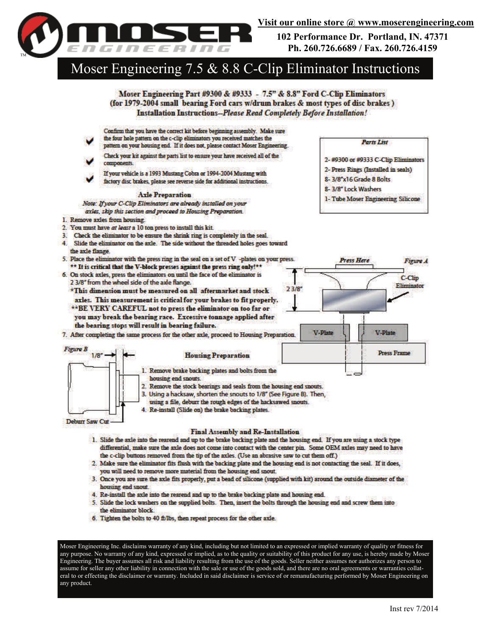

**102 Performance Dr. Portland, IN. 47371 Ph. 260.726.6689 / Fax. 260.726.4159** 

## Moser Engineering 7.5 & 8.8 C-Clip Eliminator Instructions

NGINEERING

TM

Moser Engineering Part #9300 & #9333 - 7.5" & 8.8" Ford C-Clip Eliminators (for 1979-2004 small bearing Ford cars w/drum brakes & most types of disc brakes) **Installation Instructions-Please Read Completely Before Installation!** 



- differential, make sure the axle does not come into contact with the center pin. Some OEM axles may need to have the c-clip buttons removed from the tip of the axles. (Use an abrasive saw to cut them off.)
- 2. Make sure the eliminator fits flush with the backing plate and the housing end is not contacting the seal. If it does, you will need to remove more material from the housing end snout.
- 3. Once you are sure the axle fits properly, put a bead of silicone (supplied with kit) around the outside diameter of the housing end snout.
- 4. Re-install the axle into the rearend and up to the brake backing plate and housing end.
- 5. Slide the lock washers on the supplied bolts. Then, insert the bolts through the housing end and screw them into the eliminator block
- 6. Tighten the bolts to 40 ft/lbs, then repeat process for the other axle.

Moser Engineering Inc. disclaims warranty of any kind, including but not limited to an expressed or implied warranty of quality or fitness for any purpose. No warranty of any kind, expressed or implied, as to the quality or suitability of this product for any use, is hereby made by Moser Engineering. The buyer assumes all risk and liability resulting from the use of the goods. Seller neither assumes nor authorizes any person to assume for seller any other liability in connection with the sale or use of the goods sold, and there are no oral agreements or warranties collateral to or effecting the disclaimer or warranty. Included in said disclaimer is service of or remanufacturing performed by Moser Engineering on any product.